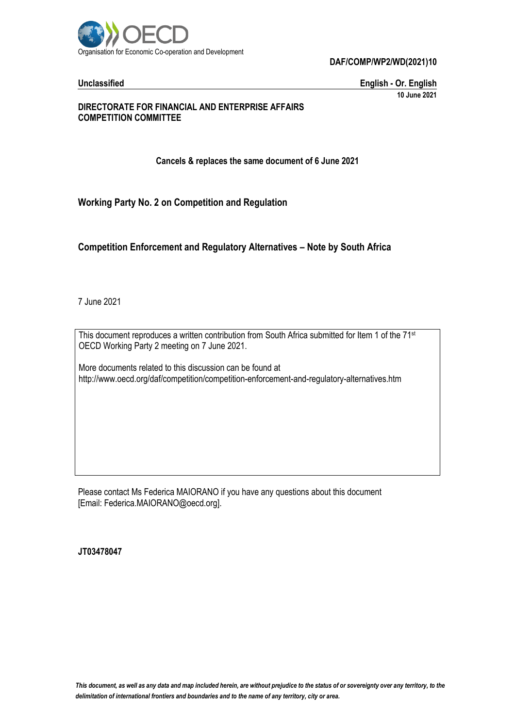

**Unclassified English - Or. English 10 June 2021**

## **DIRECTORATE FOR FINANCIAL AND ENTERPRISE AFFAIRS COMPETITION COMMITTEE**

**Cancels & replaces the same document of 6 June 2021**

**Working Party No. 2 on Competition and Regulation**

**Competition Enforcement and Regulatory Alternatives – Note by South Africa**

7 June 2021

This document reproduces a written contribution from South Africa submitted for Item 1 of the 71<sup>st</sup> OECD Working Party 2 meeting on 7 June 2021.

More documents related to this discussion can be found at http://www.oecd.org/daf/competition/competition-enforcement-and-regulatory-alternatives.htm

Please contact Ms Federica MAIORANO if you have any questions about this document [Email: Federica.MAIORANO@oecd.org].

**JT03478047**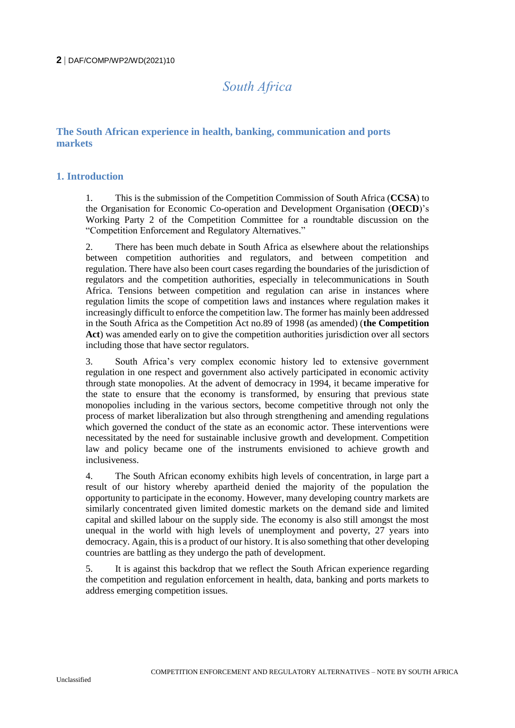# *South Africa*

# **The South African experience in health, banking, communication and ports markets**

# **1. Introduction**

1. This is the submission of the Competition Commission of South Africa (**CCSA**) to the Organisation for Economic Co-operation and Development Organisation (**OECD**)'s Working Party 2 of the Competition Committee for a roundtable discussion on the "Competition Enforcement and Regulatory Alternatives."

2. There has been much debate in South Africa as elsewhere about the relationships between competition authorities and regulators, and between competition and regulation. There have also been court cases regarding the boundaries of the jurisdiction of regulators and the competition authorities, especially in telecommunications in South Africa. Tensions between competition and regulation can arise in instances where regulation limits the scope of competition laws and instances where regulation makes it increasingly difficult to enforce the competition law. The former has mainly been addressed in the South Africa as the Competition Act no.89 of 1998 (as amended) (**the Competition Act**) was amended early on to give the competition authorities jurisdiction over all sectors including those that have sector regulators.

3. South Africa's very complex economic history led to extensive government regulation in one respect and government also actively participated in economic activity through state monopolies. At the advent of democracy in 1994, it became imperative for the state to ensure that the economy is transformed, by ensuring that previous state monopolies including in the various sectors, become competitive through not only the process of market liberalization but also through strengthening and amending regulations which governed the conduct of the state as an economic actor. These interventions were necessitated by the need for sustainable inclusive growth and development. Competition law and policy became one of the instruments envisioned to achieve growth and inclusiveness.

4. The South African economy exhibits high levels of concentration, in large part a result of our history whereby apartheid denied the majority of the population the opportunity to participate in the economy. However, many developing country markets are similarly concentrated given limited domestic markets on the demand side and limited capital and skilled labour on the supply side. The economy is also still amongst the most unequal in the world with high levels of unemployment and poverty, 27 years into democracy. Again, this is a product of our history. It is also something that other developing countries are battling as they undergo the path of development.

5. It is against this backdrop that we reflect the South African experience regarding the competition and regulation enforcement in health, data, banking and ports markets to address emerging competition issues.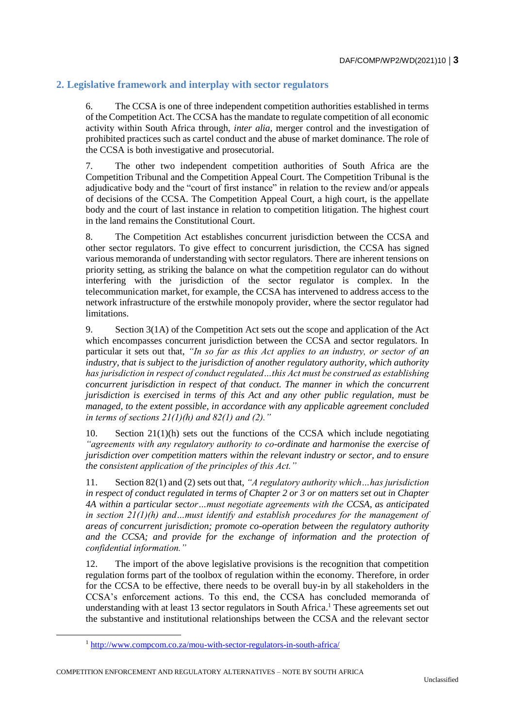# **2. Legislative framework and interplay with sector regulators**

6. The CCSA is one of three independent competition authorities established in terms of the Competition Act. The CCSA has the mandate to regulate competition of all economic activity within South Africa through, *inter alia*, merger control and the investigation of prohibited practices such as cartel conduct and the abuse of market dominance. The role of the CCSA is both investigative and prosecutorial.

7. The other two independent competition authorities of South Africa are the Competition Tribunal and the Competition Appeal Court. The Competition Tribunal is the adjudicative body and the "court of first instance" in relation to the review and/or appeals of decisions of the CCSA. The Competition Appeal Court, a high court, is the appellate body and the court of last instance in relation to competition litigation. The highest court in the land remains the Constitutional Court.

8. The Competition Act establishes concurrent jurisdiction between the CCSA and other sector regulators. To give effect to concurrent jurisdiction, the CCSA has signed various memoranda of understanding with sector regulators. There are inherent tensions on priority setting, as striking the balance on what the competition regulator can do without interfering with the jurisdiction of the sector regulator is complex. In the telecommunication market, for example, the CCSA has intervened to address access to the network infrastructure of the erstwhile monopoly provider, where the sector regulator had limitations.

9. Section 3(1A) of the Competition Act sets out the scope and application of the Act which encompasses concurrent jurisdiction between the CCSA and sector regulators. In particular it sets out that, *"In so far as this Act applies to an industry, or sector of an industry, that is subject to the jurisdiction of another regulatory authority, which authority has jurisdiction in respect of conduct regulated…this Act must be construed as establishing concurrent jurisdiction in respect of that conduct. The manner in which the concurrent jurisdiction is exercised in terms of this Act and any other public regulation, must be managed, to the extent possible, in accordance with any applicable agreement concluded in terms of sections 21(1)(h) and 82(1) and (2)."*

10. Section 21(1)(h) sets out the functions of the CCSA which include negotiating *"agreements with any regulatory authority to co-ordinate and harmonise the exercise of jurisdiction over competition matters within the relevant industry or sector, and to ensure the consistent application of the principles of this Act."*

11. Section 82(1) and (2) sets out that, *"A regulatory authority which…has jurisdiction in respect of conduct regulated in terms of Chapter 2 or 3 or on matters set out in Chapter 4A within a particular sector…must negotiate agreements with the CCSA, as anticipated in section 21(1)(h) and…must identify and establish procedures for the management of areas of concurrent jurisdiction; promote co-operation between the regulatory authority and the CCSA; and provide for the exchange of information and the protection of confidential information."*

12. The import of the above legislative provisions is the recognition that competition regulation forms part of the toolbox of regulation within the economy. Therefore, in order for the CCSA to be effective, there needs to be overall buy-in by all stakeholders in the CCSA's enforcement actions. To this end, the CCSA has concluded memoranda of understanding with at least 13 sector regulators in South Africa.<sup>1</sup> These agreements set out the substantive and institutional relationships between the CCSA and the relevant sector

<sup>1</sup> <http://www.compcom.co.za/mou-with-sector-regulators-in-south-africa/>

COMPETITION ENFORCEMENT AND REGULATORY ALTERNATIVES – NOTE BY SOUTH AFRICA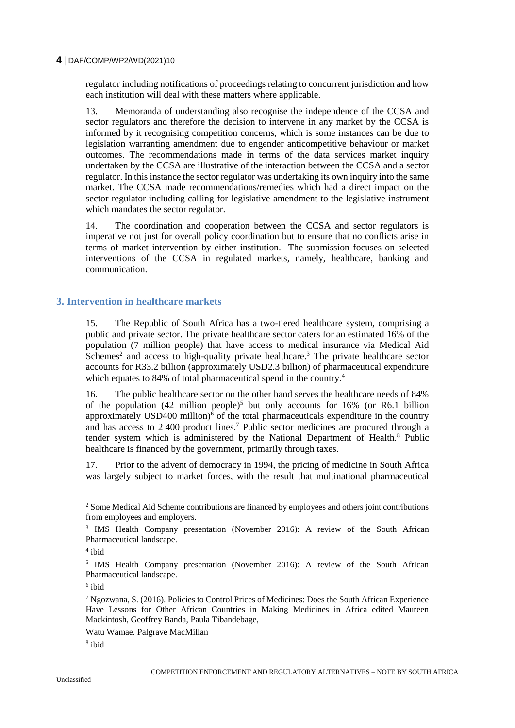regulator including notifications of proceedings relating to concurrent jurisdiction and how each institution will deal with these matters where applicable.

13. Memoranda of understanding also recognise the independence of the CCSA and sector regulators and therefore the decision to intervene in any market by the CCSA is informed by it recognising competition concerns, which is some instances can be due to legislation warranting amendment due to engender anticompetitive behaviour or market outcomes. The recommendations made in terms of the data services market inquiry undertaken by the CCSA are illustrative of the interaction between the CCSA and a sector regulator. In this instance the sector regulator was undertaking its own inquiry into the same market. The CCSA made recommendations/remedies which had a direct impact on the sector regulator including calling for legislative amendment to the legislative instrument which mandates the sector regulator.

14. The coordination and cooperation between the CCSA and sector regulators is imperative not just for overall policy coordination but to ensure that no conflicts arise in terms of market intervention by either institution. The submission focuses on selected interventions of the CCSA in regulated markets, namely, healthcare, banking and communication.

## **3. Intervention in healthcare markets**

15. The Republic of South Africa has a two-tiered healthcare system, comprising a public and private sector. The private healthcare sector caters for an estimated 16% of the population (7 million people) that have access to medical insurance via Medical Aid Schemes<sup>2</sup> and access to high-quality private healthcare.<sup>3</sup> The private healthcare sector accounts for R33.2 billion (approximately USD2.3 billion) of pharmaceutical expenditure which equates to 84% of total pharmaceutical spend in the country.<sup>4</sup>

16. The public healthcare sector on the other hand serves the healthcare needs of 84% of the population  $(42 \text{ million people})^5$  but only accounts for 16% (or R6.1 billion approximately USD400 million) $\delta$  of the total pharmaceuticals expenditure in the country and has access to 2 400 product lines.<sup>7</sup> Public sector medicines are procured through a tender system which is administered by the National Department of Health.<sup>8</sup> Public healthcare is financed by the government, primarily through taxes.

17. Prior to the advent of democracy in 1994, the pricing of medicine in South Africa was largely subject to market forces, with the result that multinational pharmaceutical

 $\overline{a}$ 

<sup>2</sup> Some Medical Aid Scheme contributions are financed by employees and others joint contributions from employees and employers.

<sup>3</sup> IMS Health Company presentation (November 2016): A review of the South African Pharmaceutical landscape.

<sup>4</sup> ibid

<sup>&</sup>lt;sup>5</sup> IMS Health Company presentation (November 2016): A review of the South African Pharmaceutical landscape.

<sup>6</sup> ibid

<sup>7</sup> Ngozwana, S. (2016). Policies to Control Prices of Medicines: Does the South African Experience Have Lessons for Other African Countries in Making Medicines in Africa edited Maureen Mackintosh, Geoffrey Banda, Paula Tibandebage,

Watu Wamae. Palgrave MacMillan

<sup>8</sup> ibid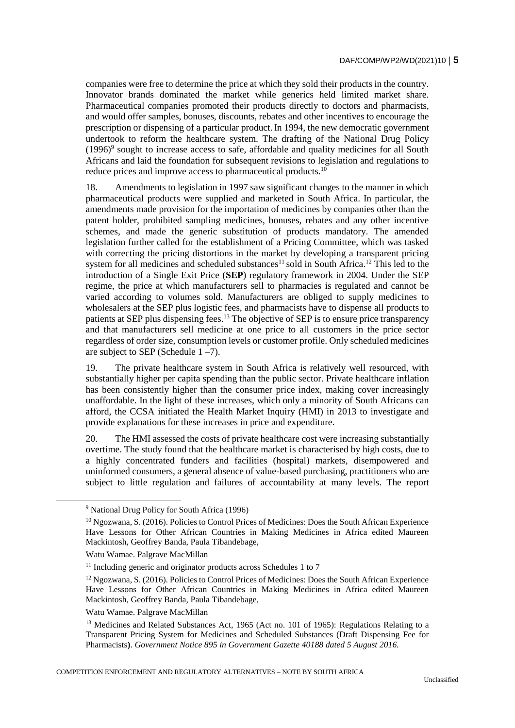companies were free to determine the price at which they sold their products in the country. Innovator brands dominated the market while generics held limited market share. Pharmaceutical companies promoted their products directly to doctors and pharmacists, and would offer samples, bonuses, discounts, rebates and other incentives to encourage the prescription or dispensing of a particular product.In 1994, the new democratic government undertook to reform the healthcare system. The drafting of the National Drug Policy  $(1996)$ <sup>9</sup> sought to increase access to safe, affordable and quality medicines for all South Africans and laid the foundation for subsequent revisions to legislation and regulations to reduce prices and improve access to pharmaceutical products.<sup>10</sup>

18. Amendments to legislation in 1997 saw significant changes to the manner in which pharmaceutical products were supplied and marketed in South Africa. In particular, the amendments made provision for the importation of medicines by companies other than the patent holder, prohibited sampling medicines, bonuses, rebates and any other incentive schemes, and made the generic substitution of products mandatory. The amended legislation further called for the establishment of a Pricing Committee, which was tasked with correcting the pricing distortions in the market by developing a transparent pricing system for all medicines and scheduled substances<sup>11</sup> sold in South Africa.<sup>12</sup> This led to the introduction of a Single Exit Price (**SEP**) regulatory framework in 2004. Under the SEP regime, the price at which manufacturers sell to pharmacies is regulated and cannot be varied according to volumes sold. Manufacturers are obliged to supply medicines to wholesalers at the SEP plus logistic fees, and pharmacists have to dispense all products to patients at SEP plus dispensing fees.<sup>13</sup> The objective of SEP is to ensure price transparency and that manufacturers sell medicine at one price to all customers in the price sector regardless of order size, consumption levels or customer profile. Only scheduled medicines are subject to SEP (Schedule  $1 - 7$ ).

19. The private healthcare system in South Africa is relatively well resourced, with substantially higher per capita spending than the public sector. Private healthcare inflation has been consistently higher than the consumer price index, making cover increasingly unaffordable. In the light of these increases, which only a minority of South Africans can afford, the CCSA initiated the Health Market Inquiry (HMI) in 2013 to investigate and provide explanations for these increases in price and expenditure.

20. The HMI assessed the costs of private healthcare cost were increasing substantially overtime. The study found that the healthcare market is characterised by high costs, due to a highly concentrated funders and facilities (hospital) markets, disempowered and uninformed consumers, a general absence of value-based purchasing, practitioners who are subject to little regulation and failures of accountability at many levels. The report

 $\overline{a}$ 

<sup>9</sup> National Drug Policy for South Africa (1996)

<sup>&</sup>lt;sup>10</sup> Ngozwana, S. (2016). Policies to Control Prices of Medicines: Does the South African Experience Have Lessons for Other African Countries in Making Medicines in Africa edited Maureen Mackintosh, Geoffrey Banda, Paula Tibandebage,

Watu Wamae. Palgrave MacMillan

 $11$  Including generic and originator products across Schedules 1 to 7

<sup>&</sup>lt;sup>12</sup> Ngozwana, S. (2016). Policies to Control Prices of Medicines: Does the South African Experience Have Lessons for Other African Countries in Making Medicines in Africa edited Maureen Mackintosh, Geoffrey Banda, Paula Tibandebage,

Watu Wamae. Palgrave MacMillan

<sup>&</sup>lt;sup>13</sup> Medicines and Related Substances Act, 1965 (Act no. 101 of 1965): Regulations Relating to a Transparent Pricing System for Medicines and Scheduled Substances (Draft Dispensing Fee for Pharmacists**)**. *Government Notice 895 in Government Gazette 40188 dated 5 August 2016.*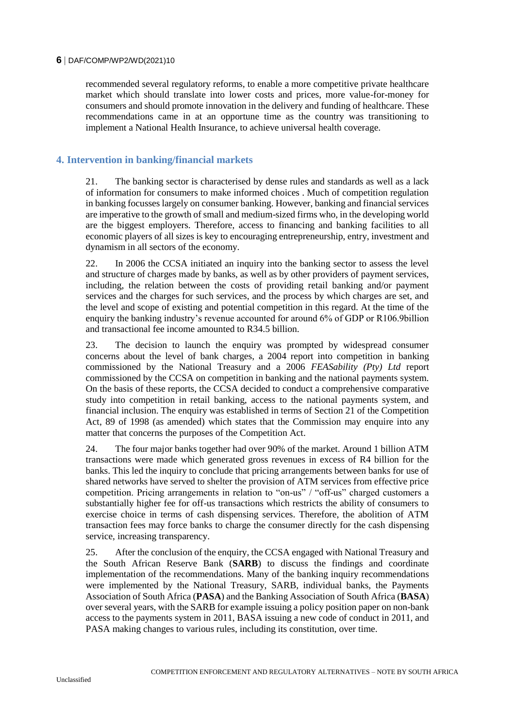recommended several regulatory reforms, to enable a more competitive private healthcare market which should translate into lower costs and prices, more value-for-money for consumers and should promote innovation in the delivery and funding of healthcare. These recommendations came in at an opportune time as the country was transitioning to implement a National Health Insurance, to achieve universal health coverage.

## **4. Intervention in banking/financial markets**

21. The banking sector is characterised by dense rules and standards as well as a lack of information for consumers to make informed choices . Much of competition regulation in banking focusses largely on consumer banking. However, banking and financial services are imperative to the growth of small and medium-sized firms who, in the developing world are the biggest employers. Therefore, access to financing and banking facilities to all economic players of all sizes is key to encouraging entrepreneurship, entry, investment and dynamism in all sectors of the economy.

22. In 2006 the CCSA initiated an inquiry into the banking sector to assess the level and structure of charges made by banks, as well as by other providers of payment services, including, the relation between the costs of providing retail banking and/or payment services and the charges for such services, and the process by which charges are set, and the level and scope of existing and potential competition in this regard. At the time of the enquiry the banking industry's revenue accounted for around 6% of GDP or R106.9billion and transactional fee income amounted to R34.5 billion.

23. The decision to launch the enquiry was prompted by widespread consumer concerns about the level of bank charges, a 2004 report into competition in banking commissioned by the National Treasury and a 2006 *FEASability (Pty) Ltd* report commissioned by the CCSA on competition in banking and the national payments system. On the basis of these reports, the CCSA decided to conduct a comprehensive comparative study into competition in retail banking, access to the national payments system, and financial inclusion. The enquiry was established in terms of Section 21 of the Competition Act, 89 of 1998 (as amended) which states that the Commission may enquire into any matter that concerns the purposes of the Competition Act.

24. The four major banks together had over 90% of the market. Around 1 billion ATM transactions were made which generated gross revenues in excess of R4 billion for the banks. This led the inquiry to conclude that pricing arrangements between banks for use of shared networks have served to shelter the provision of ATM services from effective price competition. Pricing arrangements in relation to "on-us" / "off-us" charged customers a substantially higher fee for off-us transactions which restricts the ability of consumers to exercise choice in terms of cash dispensing services. Therefore, the abolition of ATM transaction fees may force banks to charge the consumer directly for the cash dispensing service, increasing transparency.

25. After the conclusion of the enquiry, the CCSA engaged with National Treasury and the South African Reserve Bank (**SARB**) to discuss the findings and coordinate implementation of the recommendations. Many of the banking inquiry recommendations were implemented by the National Treasury, SARB, individual banks, the Payments Association of South Africa (**PASA**) and the Banking Association of South Africa (**BASA**) over several years, with the SARB for example issuing a policy position paper on non-bank access to the payments system in 2011, BASA issuing a new code of conduct in 2011, and PASA making changes to various rules, including its constitution, over time.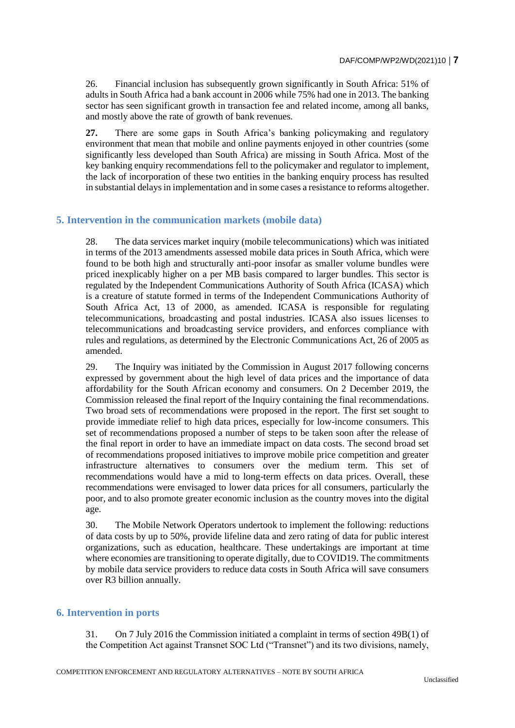26. Financial inclusion has subsequently grown significantly in South Africa: 51% of adults in South Africa had a bank account in 2006 while 75% had one in 2013. The banking sector has seen significant growth in transaction fee and related income, among all banks, and mostly above the rate of growth of bank revenues.

**27.** There are some gaps in South Africa's banking policymaking and regulatory environment that mean that mobile and online payments enjoyed in other countries (some significantly less developed than South Africa) are missing in South Africa. Most of the key banking enquiry recommendations fell to the policymaker and regulator to implement, the lack of incorporation of these two entities in the banking enquiry process has resulted in substantial delays in implementation and in some cases a resistance to reforms altogether.

## **5. Intervention in the communication markets (mobile data)**

28. The data services market inquiry (mobile telecommunications) which was initiated in terms of the 2013 amendments assessed mobile data prices in South Africa, which were found to be both high and structurally anti-poor insofar as smaller volume bundles were priced inexplicably higher on a per MB basis compared to larger bundles. This sector is regulated by the Independent Communications Authority of South Africa (ICASA) which is a creature of statute formed in terms of the Independent Communications Authority of South Africa Act, 13 of 2000, as amended. ICASA is responsible for regulating telecommunications, broadcasting and postal industries. ICASA also issues licenses to telecommunications and broadcasting service providers, and enforces compliance with rules and regulations, as determined by the Electronic Communications Act, 26 of 2005 as amended.

29. The Inquiry was initiated by the Commission in August 2017 following concerns expressed by government about the high level of data prices and the importance of data affordability for the South African economy and consumers. On 2 December 2019, the Commission released the final report of the Inquiry containing the final recommendations. Two broad sets of recommendations were proposed in the report. The first set sought to provide immediate relief to high data prices, especially for low-income consumers. This set of recommendations proposed a number of steps to be taken soon after the release of the final report in order to have an immediate impact on data costs. The second broad set of recommendations proposed initiatives to improve mobile price competition and greater infrastructure alternatives to consumers over the medium term. This set of recommendations would have a mid to long-term effects on data prices. Overall, these recommendations were envisaged to lower data prices for all consumers, particularly the poor, and to also promote greater economic inclusion as the country moves into the digital age.

30. The Mobile Network Operators undertook to implement the following: reductions of data costs by up to 50%, provide lifeline data and zero rating of data for public interest organizations, such as education, healthcare. These undertakings are important at time where economies are transitioning to operate digitally, due to COVID19. The commitments by mobile data service providers to reduce data costs in South Africa will save consumers over R3 billion annually.

#### **6. Intervention in ports**

31. On 7 July 2016 the Commission initiated a complaint in terms of section 49B(1) of the Competition Act against Transnet SOC Ltd ("Transnet") and its two divisions, namely,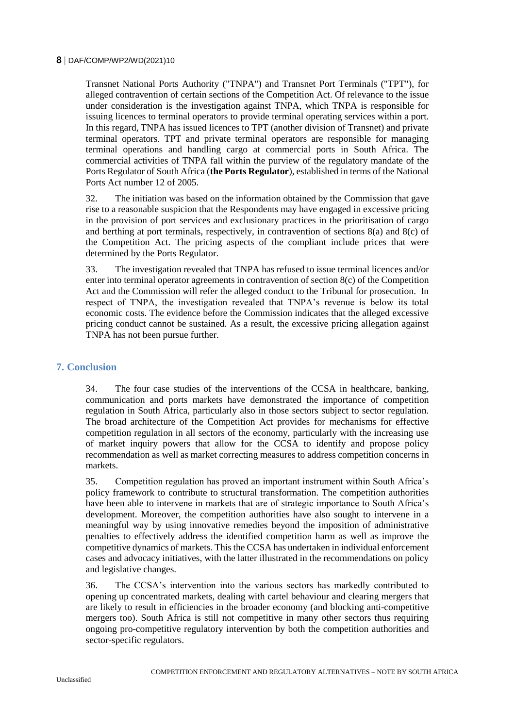Transnet National Ports Authority ("TNPA") and Transnet Port Terminals ("TPT"), for alleged contravention of certain sections of the Competition Act. Of relevance to the issue under consideration is the investigation against TNPA, which TNPA is responsible for issuing licences to terminal operators to provide terminal operating services within a port. In this regard, TNPA has issued licences to TPT (another division of Transnet) and private terminal operators. TPT and private terminal operators are responsible for managing terminal operations and handling cargo at commercial ports in South Africa. The commercial activities of TNPA fall within the purview of the regulatory mandate of the Ports Regulator of South Africa (**the Ports Regulator**), established in terms of the National Ports Act number 12 of 2005.

32. The initiation was based on the information obtained by the Commission that gave rise to a reasonable suspicion that the Respondents may have engaged in excessive pricing in the provision of port services and exclusionary practices in the prioritisation of cargo and berthing at port terminals, respectively, in contravention of sections 8(a) and 8(c) of the Competition Act. The pricing aspects of the compliant include prices that were determined by the Ports Regulator.

33. The investigation revealed that TNPA has refused to issue terminal licences and/or enter into terminal operator agreements in contravention of section 8(c) of the Competition Act and the Commission will refer the alleged conduct to the Tribunal for prosecution. In respect of TNPA, the investigation revealed that TNPA's revenue is below its total economic costs. The evidence before the Commission indicates that the alleged excessive pricing conduct cannot be sustained. As a result, the excessive pricing allegation against TNPA has not been pursue further.

### **7. Conclusion**

34. The four case studies of the interventions of the CCSA in healthcare, banking, communication and ports markets have demonstrated the importance of competition regulation in South Africa, particularly also in those sectors subject to sector regulation. The broad architecture of the Competition Act provides for mechanisms for effective competition regulation in all sectors of the economy, particularly with the increasing use of market inquiry powers that allow for the CCSA to identify and propose policy recommendation as well as market correcting measures to address competition concerns in markets.

35. Competition regulation has proved an important instrument within South Africa's policy framework to contribute to structural transformation. The competition authorities have been able to intervene in markets that are of strategic importance to South Africa's development. Moreover, the competition authorities have also sought to intervene in a meaningful way by using innovative remedies beyond the imposition of administrative penalties to effectively address the identified competition harm as well as improve the competitive dynamics of markets. This the CCSA has undertaken in individual enforcement cases and advocacy initiatives, with the latter illustrated in the recommendations on policy and legislative changes.

36. The CCSA's intervention into the various sectors has markedly contributed to opening up concentrated markets, dealing with cartel behaviour and clearing mergers that are likely to result in efficiencies in the broader economy (and blocking anti-competitive mergers too). South Africa is still not competitive in many other sectors thus requiring ongoing pro-competitive regulatory intervention by both the competition authorities and sector-specific regulators.